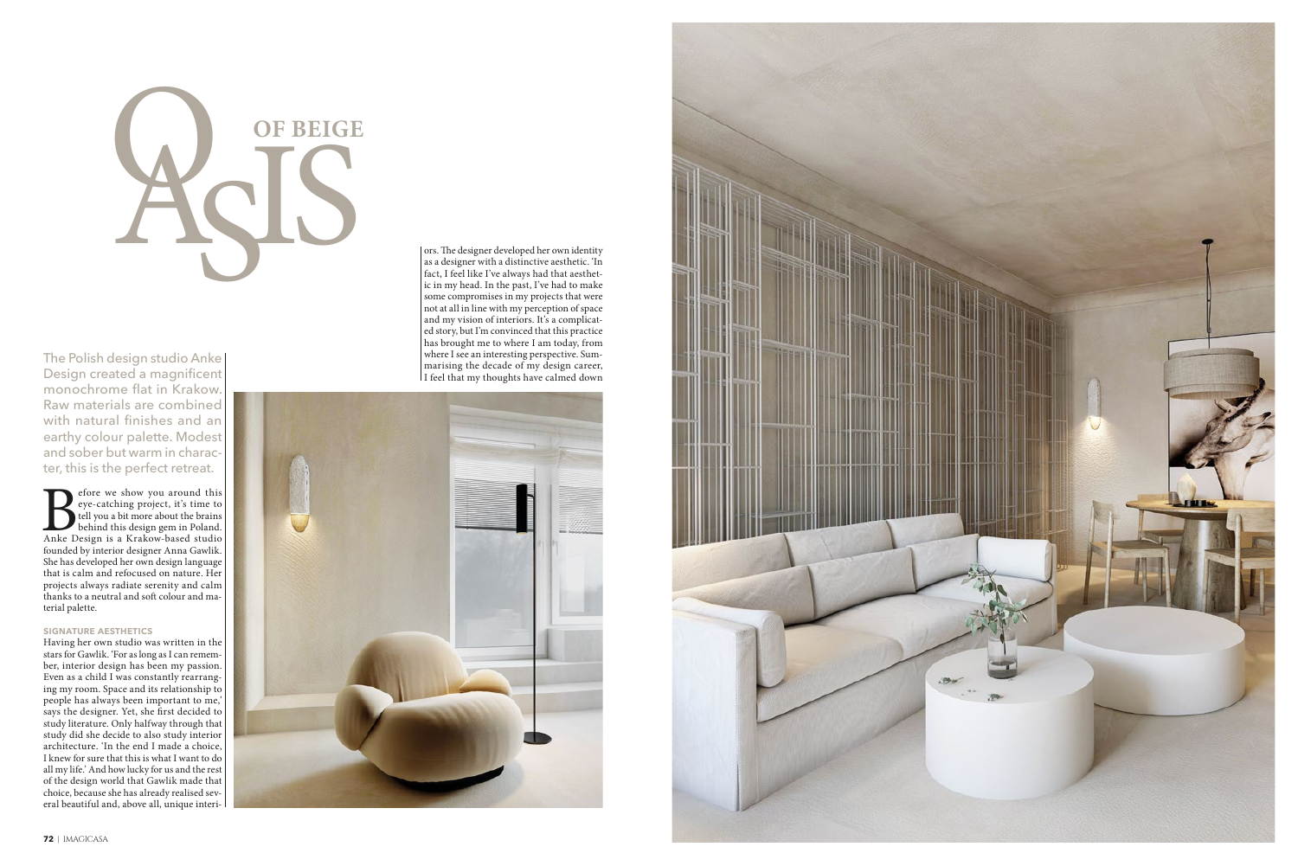# **OF BEIGE**

The Polish design studio Anke Design created a magnificent monochrome flat in Krakow. Raw materials are combined with natural finishes and an earthy colour palette. Modest and sober but warm in character, this is the perfect retreat.

Sefore we show you around this eye-catching project, it's time to<br>tell you a bit more about the brains<br>behind this design gem in Poland.<br>Anke Design is a Krakow-based studio founded by interior designer Anna Gawlik. She has developed her own design language that is calm and refocused on nature. Her projects always radiate serenity and calm thanks to a neutral and soft colour and material palette.

# **SIGNATURE AESTHETICS**

Having her own studio was written in the stars for Gawlik. 'For as long as I can remember, interior design has been my passion. Even as a child I was constantly rearranging my room. Space and its relationship to people has always been important to me,' says the designer. Yet, she first decided to stays the designer. Tet, she hast decided to<br>study literature. Only halfway through that<br>study did she decide to also study interior<br>architecture. Tn the end I made a choice, I knew for sure that this is what I want to do all my life.' And how lucky for us and the rest of the design world that Gawlik made that choice, because she has already realised several beautiful and, above all, unique interiors. The designer developed her own identity as a designer with a distinctive aesthetic. 'In fact, I feel like I've always had that aesthetic in my head. In the past, I've had to make some compromises in my projects that were not at all in line with my perception of space and my vision of interiors. It's a complicated story, but I'm convinced that this practice has brought me to where I am today, from where I see an interesting perspective. Sum-<br>marising the decade of my design career, I feel that my thoughts have calmed down



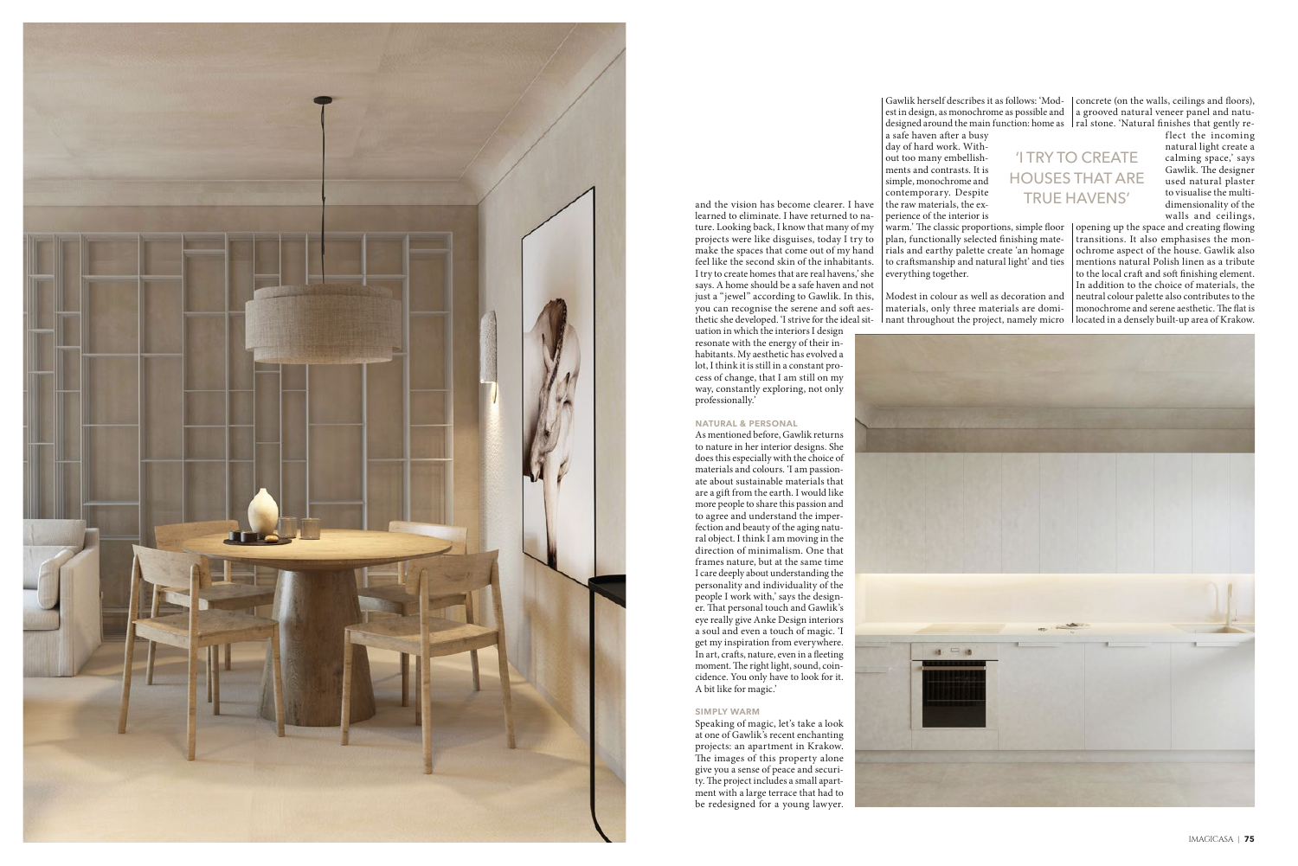

IMAGICASA | **75**

and the vision has become clearer. I have learned to eliminate. I have returned to nature. Looking back, I know that many of my projects were like disguises, today I try to make the spaces that come out of my hand feel like the second skin of the inhabitants. I try to create homes that are real havens,' she says. A home should be a safe haven and not just a "jewel" according to Gawlik. In this, you can recognise the serene and soft aes-

uation in which the interiors I design resonate with the energy of their inhabitants. My aesthetic has evolved a lot, I think it is still in a constant process of change, that I am still on my way, constantly exploring, not only professionally.'

## **NATURAL & PERSONAL**

Gawlik herself describes it as follows: 'Mod-concrete (on the walls, ceilings and foors), est in design, as monochrome as possible and  $\; \; \mid$  a grooved natural veneer panel and natudesigned around the main function: home as 「ral stone. 'Natural finishes that gently re-

As mentioned before, Gawlik returns to nature in her interior designs. She does this especially with the choice of materials and colours. 'I am passionate about sustainable materials that are a gift from the earth. I would like more people to share this passion and to agree and understand the imperfection and beauty of the aging natural object. I think I am moving in the direction of minimalism. One that frames nature, but at the same time I care deeply about understanding the personality and individuality of the people I work with,' says the designer. That personal touch and Gawlik's eye really give Anke Design interiors a soul and even a touch of magic. 'I get my inspiration from everywhere. In art, crafs, nature, even in a feeting moment. The right light, sound, coincidence. You only have to look for it. A bit like for magic.'

### **SIMPLY WARM**

flect the incoming natural light create a calming space,' says Gawlik. The designer used natural plaster to visualise the multidimensionality of the walls and ceilings,

thetic she developed. 'I strive for the ideal sit-  $\;$  l nant throughout the project, namely micro  $\;$  located in a densely built-up area of Krakow. warm.' The classic proportions, simple floor  $\mathcal{L}$  opening up the space and creating flowing transitions. It also emphasises the monochrome aspect of the house. Gawlik also mentions natural Polish linen as a tribute to the local craft and soft finishing element. In addition to the choice of materials, the neutral colour palette also contributes to the monochrome and serene aesthetic. The flat is



Speaking of magic, let's take a look at one of Gawlik's recent enchanting projects: an apartment in Krakow. The images of this property alone give you a sense of peace and security. The project includes a small apartment with a large terrace that had to be redesigned for a young lawyer.

a safe haven after a busy

day of hard work. Without too many embellishments and contrasts. It is simple, monochrome and contemporary. Despite the raw materials, the experience of the interior is

plan, functionally selected fnishing materials and earthy palette create 'an homage to crafsmanship and natural light' and ties everything together.

Modest in colour as well as decoration and materials, only three materials are domi-

'I TRY TO CREATE HOUSES THAT ARE TRUE HAVENS'